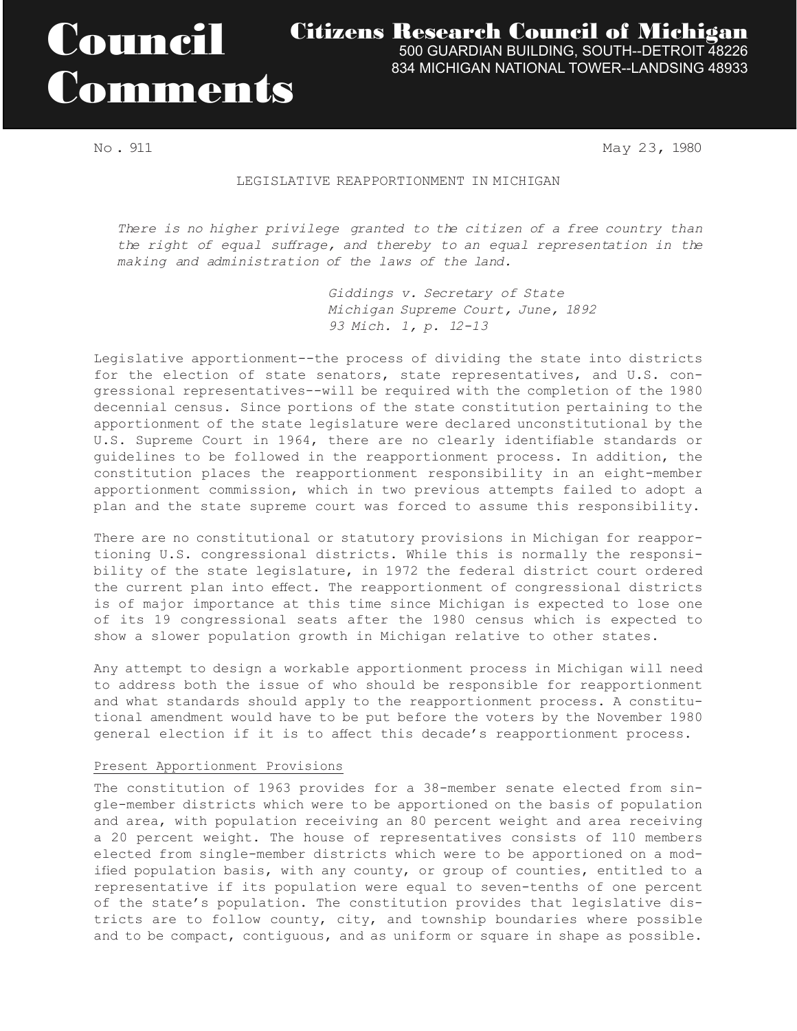# Council Comments

Citizens Research Council of Michigan

500 GUARDIAN BUILDING, SOUTH--DETROIT 48226 834 MICHIGAN NATIONAL TOWER--LANDSING 48933

No . 911 May 23, 1980

#### LEGISLATIVE REAPPORTIONMENT IN MICHIGAN

*There is no higher privilege granted to the citizen of a free country than the right of equal suffrage, and thereby to an equal representation in the making and administration of the laws of the land.*

> *Giddings v. Secretary of State Michigan Supreme Court, June, 1892 93 Mich. 1, p. 12-13*

Legislative apportionment--the process of dividing the state into districts for the election of state senators, state representatives, and U.S. congressional representatives--will be required with the completion of the 1980 decennial census. Since portions of the state constitution pertaining to the apportionment of the state legislature were declared unconstitutional by the U.S. Supreme Court in 1964, there are no clearly identifiable standards or guidelines to be followed in the reapportionment process. In addition, the constitution places the reapportionment responsibility in an eight-member apportionment commission, which in two previous attempts failed to adopt a plan and the state supreme court was forced to assume this responsibility.

There are no constitutional or statutory provisions in Michigan for reapportioning U.S. congressional districts. While this is normally the responsibility of the state legislature, in 1972 the federal district court ordered the current plan into effect. The reapportionment of congressional districts is of major importance at this time since Michigan is expected to lose one of its 19 congressional seats after the 1980 census which is expected to show a slower population growth in Michigan relative to other states.

Any attempt to design a workable apportionment process in Michigan will need to address both the issue of who should be responsible for reapportionment and what standards should apply to the reapportionment process. A constitutional amendment would have to be put before the voters by the November 1980 general election if it is to affect this decade's reapportionment process.

## Present Apportionment Provisions

The constitution of 1963 provides for a 38-member senate elected from single-member districts which were to be apportioned on the basis of population and area, with population receiving an 80 percent weight and area receiving a 20 percent weight. The house of representatives consists of 110 members elected from single-member districts which were to be apportioned on a modified population basis, with any county, or group of counties, entitled to a representative if its population were equal to seven-tenths of one percent of the state's population. The constitution provides that legislative districts are to follow county, city, and township boundaries where possible and to be compact, contiguous, and as uniform or square in shape as possible.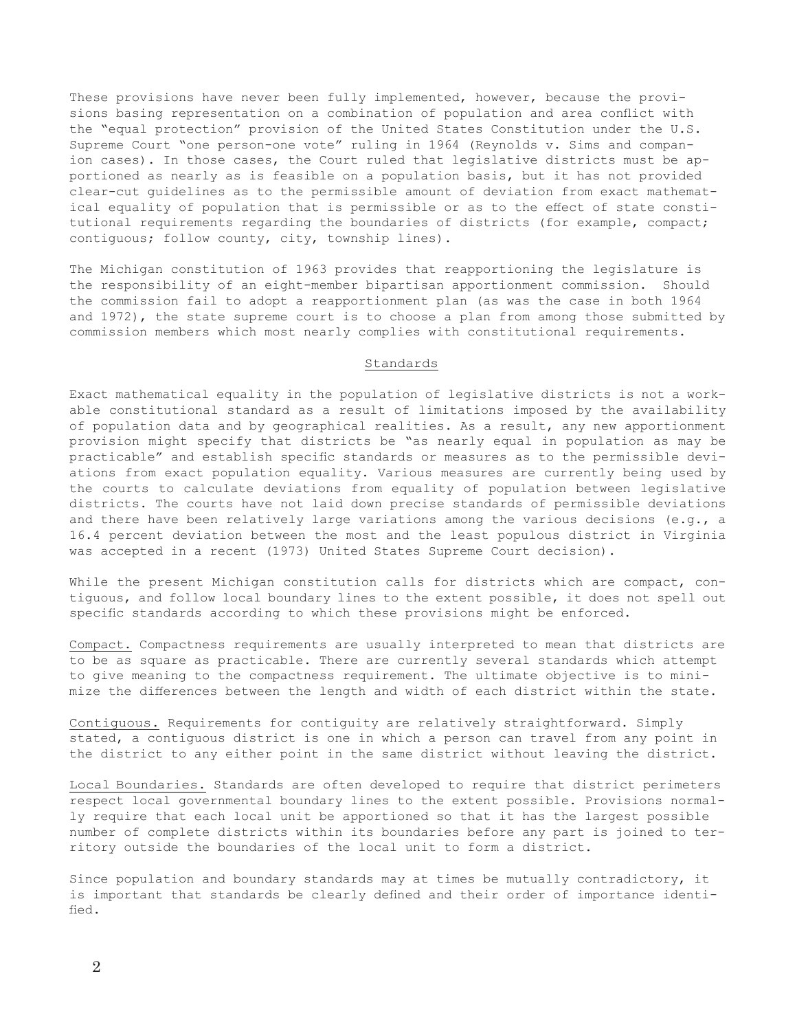These provisions have never been fully implemented, however, because the provisions basing representation on a combination of population and area conflict with the "equal protection" provision of the United States Constitution under the U.S. Supreme Court "one person-one vote" ruling in 1964 (Reynolds v. Sims and companion cases). In those cases, the Court ruled that legislative districts must be apportioned as nearly as is feasible on a population basis, but it has not provided clear-cut guidelines as to the permissible amount of deviation from exact mathematical equality of population that is permissible or as to the effect of state constitutional requirements regarding the boundaries of districts (for example, compact; contiguous; follow county, city, township lines).

The Michigan constitution of 1963 provides that reapportioning the legislature is the responsibility of an eight-member bipartisan apportionment commission. Should the commission fail to adopt a reapportionment plan (as was the case in both 1964 and 1972), the state supreme court is to choose a plan from among those submitted by commission members which most nearly complies with constitutional requirements.

## Standards

Exact mathematical equality in the population of legislative districts is not a workable constitutional standard as a result of limitations imposed by the availability of population data and by geographical realities. As a result, any new apportionment provision might specify that districts be "as nearly equal in population as may be practicable" and establish specific standards or measures as to the permissible deviations from exact population equality. Various measures are currently being used by the courts to calculate deviations from equality of population between legislative districts. The courts have not laid down precise standards of permissible deviations and there have been relatively large variations among the various decisions (e.g., a 16.4 percent deviation between the most and the least populous district in Virginia was accepted in a recent (1973) United States Supreme Court decision).

While the present Michigan constitution calls for districts which are compact, contiguous, and follow local boundary lines to the extent possible, it does not spell out specific standards according to which these provisions might be enforced.

Compact. Compactness requirements are usually interpreted to mean that districts are to be as square as practicable. There are currently several standards which attempt to give meaning to the compactness requirement. The ultimate objective is to minimize the differences between the length and width of each district within the state.

Contiguous. Requirements for contiguity are relatively straightforward. Simply stated, a contiguous district is one in which a person can travel from any point in the district to any either point in the same district without leaving the district.

Local Boundaries. Standards are often developed to require that district perimeters respect local governmental boundary lines to the extent possible. Provisions normally require that each local unit be apportioned so that it has the largest possible number of complete districts within its boundaries before any part is joined to territory outside the boundaries of the local unit to form a district.

Since population and boundary standards may at times be mutually contradictory, it is important that standards be clearly defined and their order of importance identified.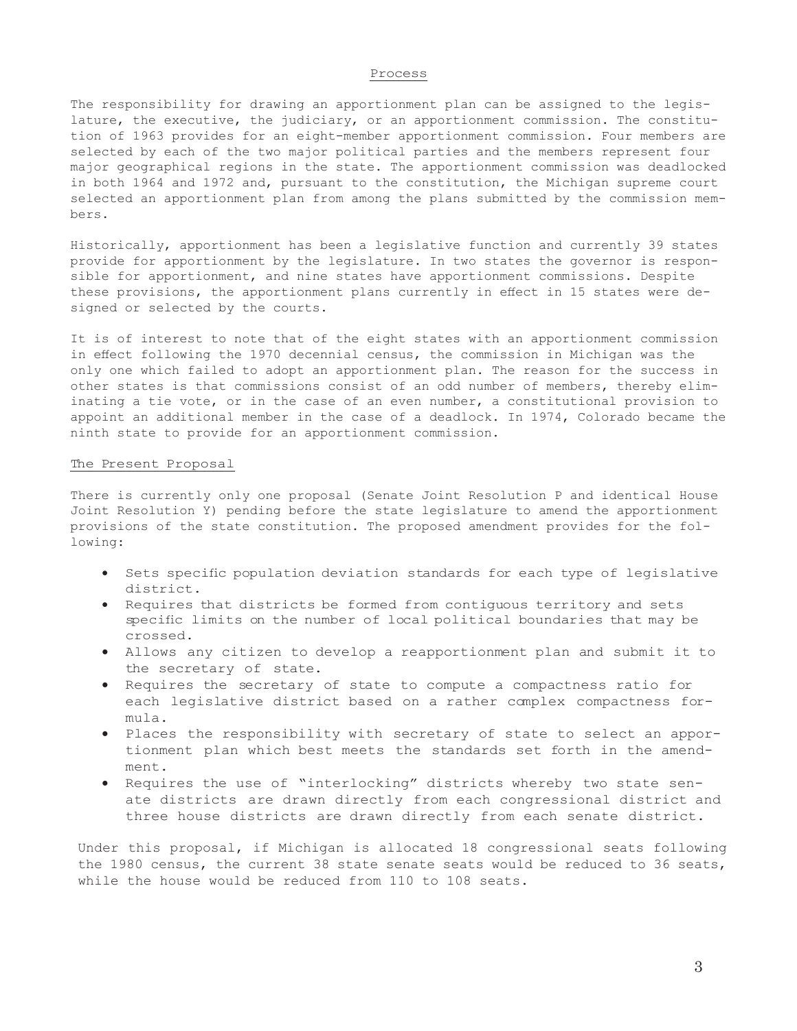#### Process

The responsibility for drawing an apportionment plan can be assigned to the legislature, the executive, the judiciary, or an apportionment commission. The constitution of 1963 provides for an eight-member apportionment commission. Four members are selected by each of the two major political parties and the members represent four major geographical regions in the state. The apportionment commission was deadlocked in both 1964 and 1972 and, pursuant to the constitution, the Michigan supreme court selected an apportionment plan from among the plans submitted by the commission members.

Historically, apportionment has been a legislative function and currently 39 states provide for apportionment by the legislature. In two states the governor is responsible for apportionment, and nine states have apportionment commissions. Despite these provisions, the apportionment plans currently in effect in 15 states were designed or selected by the courts.

It is of interest to note that of the eight states with an apportionment commission in effect following the 1970 decennial census, the commission in Michigan was the only one which failed to adopt an apportionment plan. The reason for the success in other states is that commissions consist of an odd number of members, thereby eliminating a tie vote, or in the case of an even number, a constitutional provision to appoint an additional member in the case of a deadlock. In 1974, Colorado became the ninth state to provide for an apportionment commission.

#### The Present Proposal

There is currently only one proposal (Senate Joint Resolution P and identical House Joint Resolution Y) pending before the state legislature to amend the apportionment provisions of the state constitution. The proposed amendment provides for the following:

- • Sets specific population deviation standards for each type of legislative district.
- • Requires that districts be formed from contiguous territory and sets specific limits on the number of local political boundaries that may be crossed.
- • Allows any citizen to develop a reapportionment plan and submit it to the secretary of state.
- Requires the secretary of state to compute a compactness ratio for each legislative district based on a rather complex compactness formula.
- • Places the responsibility with secretary of state to select an apportionment plan which best meets the standards set forth in the amendment.
- • Requires the use of "interlocking" districts whereby two state senate districts are drawn directly from each congressional district and three house districts are drawn directly from each senate district.

Under this proposal, if Michigan is allocated 18 congressional seats following the 1980 census, the current 38 state senate seats would be reduced to 36 seats, while the house would be reduced from 110 to 108 seats.